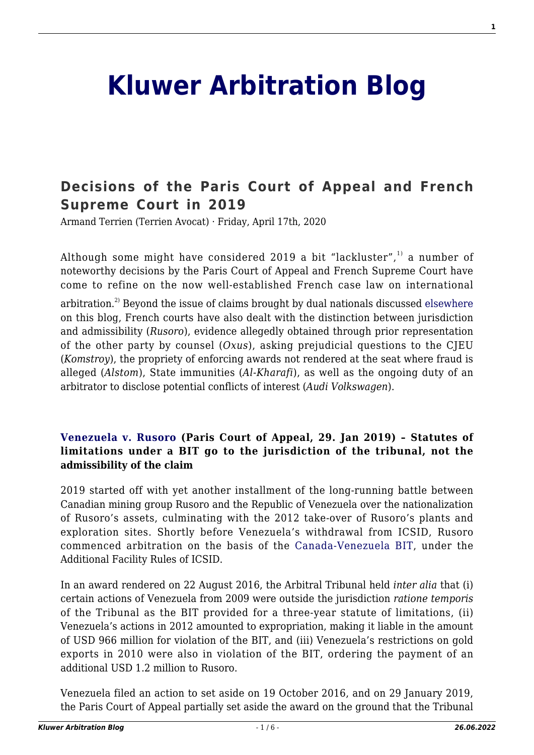# **[Kluwer Arbitration Blog](http://arbitrationblog.kluwerarbitration.com/)**

# **[Decisions of the Paris Court of Appeal and French](http://arbitrationblog.kluwerarbitration.com/2020/04/17/decisions-of-the-paris-court-of-appeal-and-french-supreme-court-in-2019/) [Supreme Court in 2019](http://arbitrationblog.kluwerarbitration.com/2020/04/17/decisions-of-the-paris-court-of-appeal-and-french-supreme-court-in-2019/)**

Armand Terrien (Terrien Avocat) · Friday, April 17th, 2020

Although some might have considered 2019 a bit "lackluster", $^{1}$  a number of noteworthy decisions by the Paris Court of Appeal and French Supreme Court have come to refine on the now well-established French case law on international

arbitration.<sup>2)</sup> Beyond the issue of claims brought by dual nationals discussed [elsewhere](#page--1-0) on this blog, French courts have also dealt with the distinction between jurisdiction and admissibility (*Rusoro*), evidence allegedly obtained through prior representation of the other party by counsel (*Oxus*), asking prejudicial questions to the CJEU (*Komstroy*), the propriety of enforcing awards not rendered at the seat where fraud is alleged (*Alstom*), State immunities (*Al-Kharafi*), as well as the ongoing duty of an arbitrator to disclose potential conflicts of interest (*Audi Volkswagen*).

## **[Venezuela v. Rusoro](https://www.italaw.com/cases/2048) (Paris Court of Appeal, 29. Jan 2019) – Statutes of limitations under a BIT go to the jurisdiction of the tribunal, not the admissibility of the claim**

2019 started off with yet another installment of the long-running battle between Canadian mining group Rusoro and the Republic of Venezuela over the nationalization of Rusoro's assets, culminating with the 2012 take-over of Rusoro's plants and exploration sites. Shortly before Venezuela's withdrawal from ICSID, Rusoro commenced arbitration on the basis of the [Canada-Venezuela BIT,](https://investmentpolicy.unctad.org/international-investment-agreements/treaty-files/644/download) under the Additional Facility Rules of ICSID.

In an award rendered on 22 August 2016, the Arbitral Tribunal held *inter alia* that (i) certain actions of Venezuela from 2009 were outside the jurisdiction *ratione temporis* of the Tribunal as the BIT provided for a three-year statute of limitations, (ii) Venezuela's actions in 2012 amounted to expropriation, making it liable in the amount of USD 966 million for violation of the BIT, and (iii) Venezuela's restrictions on gold exports in 2010 were also in violation of the BIT, ordering the payment of an additional USD 1.2 million to Rusoro.

Venezuela filed an action to set aside on 19 October 2016, and on 29 January 2019, the Paris Court of Appeal partially set aside the award on the ground that the Tribunal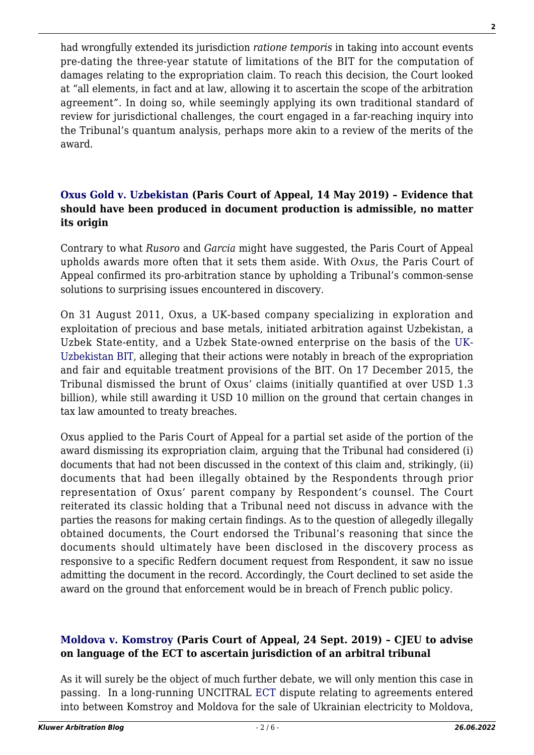had wrongfully extended its jurisdiction *ratione temporis* in taking into account events pre-dating the three-year statute of limitations of the BIT for the computation of damages relating to the expropriation claim. To reach this decision, the Court looked at "all elements, in fact and at law, allowing it to ascertain the scope of the arbitration agreement". In doing so, while seemingly applying its own traditional standard of review for jurisdictional challenges, the court engaged in a far-reaching inquiry into the Tribunal's quantum analysis, perhaps more akin to a review of the merits of the award.

#### **[Oxus Gold v. Uzbekistan](https://www.italaw.com/cases/781) (Paris Court of Appeal, 14 May 2019) – Evidence that should have been produced in document production is admissible, no matter its origin**

Contrary to what *Rusoro* and *Garcia* might have suggested, the Paris Court of Appeal upholds awards more often that it sets them aside. With *Oxus*, the Paris Court of Appeal confirmed its pro-arbitration stance by upholding a Tribunal's common-sense solutions to surprising issues encountered in discovery.

On 31 August 2011, Oxus, a UK-based company specializing in exploration and exploitation of precious and base metals, initiated arbitration against Uzbekistan, a Uzbek State-entity, and a Uzbek State-owned enterprise on the basis of the [UK-](https://investmentpolicy.unctad.org/international-investment-agreements/treaty-files/3543/download)[Uzbekistan BIT,](https://investmentpolicy.unctad.org/international-investment-agreements/treaty-files/3543/download) alleging that their actions were notably in breach of the expropriation and fair and equitable treatment provisions of the BIT. On 17 December 2015, the Tribunal dismissed the brunt of Oxus' claims (initially quantified at over USD 1.3 billion), while still awarding it USD 10 million on the ground that certain changes in tax law amounted to treaty breaches.

Oxus applied to the Paris Court of Appeal for a partial set aside of the portion of the award dismissing its expropriation claim, arguing that the Tribunal had considered (i) documents that had not been discussed in the context of this claim and, strikingly, (ii) documents that had been illegally obtained by the Respondents through prior representation of Oxus' parent company by Respondent's counsel. The Court reiterated its classic holding that a Tribunal need not discuss in advance with the parties the reasons for making certain findings. As to the question of allegedly illegally obtained documents, the Court endorsed the Tribunal's reasoning that since the documents should ultimately have been disclosed in the discovery process as responsive to a specific Redfern document request from Respondent, it saw no issue admitting the document in the record. Accordingly, the Court declined to set aside the award on the ground that enforcement would be in breach of French public policy.

# **[Moldova v. Komstroy](https://www.italaw.com/cases/2579) (Paris Court of Appeal, 24 Sept. 2019) – CJEU to advise on language of the ECT to ascertain jurisdiction of an arbitral tribunal**

As it will surely be the object of much further debate, we will only mention this case in passing. In a long-running UNCITRAL [ECT](https://www.italaw.com/sites/default/files/laws/italaw6101%2816%29.pdf) dispute relating to agreements entered into between Komstroy and Moldova for the sale of Ukrainian electricity to Moldova,

**2**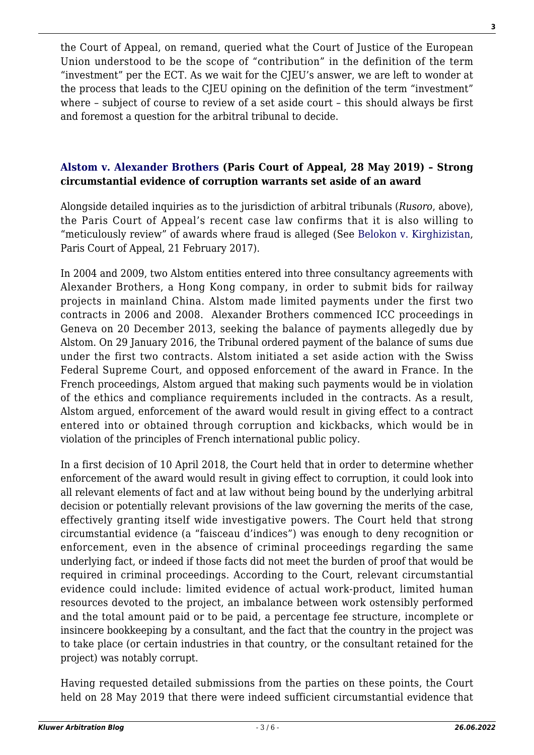the Court of Appeal, on remand, queried what the Court of Justice of the European Union understood to be the scope of "contribution" in the definition of the term "investment" per the ECT. As we wait for the CJEU's answer, we are left to wonder at the process that leads to the CJEU opining on the definition of the term "investment" where – subject of course to review of a set aside court – this should always be first and foremost a question for the arbitral tribunal to decide.

## **[Alstom v. Alexander Brothers](https://www.dalloz-actualite.fr/sites/dalloz-actualite.fr/files/resources/2019/06/16-11182.pdf) (Paris Court of Appeal, 28 May 2019) – Strong circumstantial evidence of corruption warrants set aside of an award**

Alongside detailed inquiries as to the jurisdiction of arbitral tribunals (*Rusoro*, above), the Paris Court of Appeal's recent case law confirms that it is also willing to "meticulously review" of awards where fraud is alleged (See [Belokon v. Kirghizistan](https://www.italaw.com/sites/default/files/case-documents/italaw8476.PDF), Paris Court of Appeal, 21 February 2017).

In 2004 and 2009, two Alstom entities entered into three consultancy agreements with Alexander Brothers, a Hong Kong company, in order to submit bids for railway projects in mainland China. Alstom made limited payments under the first two contracts in 2006 and 2008. Alexander Brothers commenced ICC proceedings in Geneva on 20 December 2013, seeking the balance of payments allegedly due by Alstom. On 29 January 2016, the Tribunal ordered payment of the balance of sums due under the first two contracts. Alstom initiated a set aside action with the Swiss Federal Supreme Court, and opposed enforcement of the award in France. In the French proceedings, Alstom argued that making such payments would be in violation of the ethics and compliance requirements included in the contracts. As a result, Alstom argued, enforcement of the award would result in giving effect to a contract entered into or obtained through corruption and kickbacks, which would be in violation of the principles of French international public policy.

In a first decision of 10 April 2018, the Court held that in order to determine whether enforcement of the award would result in giving effect to corruption, it could look into all relevant elements of fact and at law without being bound by the underlying arbitral decision or potentially relevant provisions of the law governing the merits of the case, effectively granting itself wide investigative powers. The Court held that strong circumstantial evidence (a "faisceau d'indices") was enough to deny recognition or enforcement, even in the absence of criminal proceedings regarding the same underlying fact, or indeed if those facts did not meet the burden of proof that would be required in criminal proceedings. According to the Court, relevant circumstantial evidence could include: limited evidence of actual work-product, limited human resources devoted to the project, an imbalance between work ostensibly performed and the total amount paid or to be paid, a percentage fee structure, incomplete or insincere bookkeeping by a consultant, and the fact that the country in the project was to take place (or certain industries in that country, or the consultant retained for the project) was notably corrupt.

Having requested detailed submissions from the parties on these points, the Court held on 28 May 2019 that there were indeed sufficient circumstantial evidence that

**3**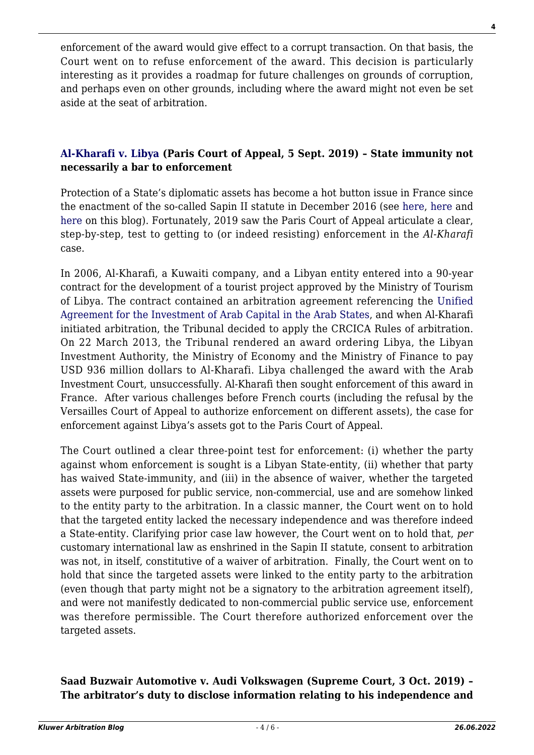enforcement of the award would give effect to a corrupt transaction. On that basis, the Court went on to refuse enforcement of the award. This decision is particularly interesting as it provides a roadmap for future challenges on grounds of corruption, and perhaps even on other grounds, including where the award might not even be set aside at the seat of arbitration.

## **[Al-Kharafi v. Libya](https://www.italaw.com/cases/2185) (Paris Court of Appeal, 5 Sept. 2019) – State immunity not necessarily a bar to enforcement**

Protection of a State's diplomatic assets has become a hot button issue in France since the enactment of the so-called Sapin II statute in December 2016 (see [here](http://arbitrationblog.kluwerarbitration.com/2016/12/30/are-state-creditors-defeated-by-state-immunity-from-enforcement-in-france/), [here](http://arbitrationblog.kluwerarbitration.com/2018/02/21/protection-states-diplomatic-assets-france/) and [here](http://arbitrationblog.kluwerarbitration.com/2019/11/26/stay-of-enforcement-in-france-how-restrictive-is-the-paris-court-of-appeal/) on this blog). Fortunately, 2019 saw the Paris Court of Appeal articulate a clear, step-by-step, test to getting to (or indeed resisting) enforcement in the *Al-Kharafi* case.

In 2006, Al-Kharafi, a Kuwaiti company, and a Libyan entity entered into a 90-year contract for the development of a tourist project approved by the Ministry of Tourism of Libya. The contract contained an arbitration agreement referencing the [Unified](https://investmentpolicy.unctad.org/international-investment-agreements/treaty-files/2394/download) [Agreement for the Investment of Arab Capital in the Arab States](https://investmentpolicy.unctad.org/international-investment-agreements/treaty-files/2394/download), and when Al-Kharafi initiated arbitration, the Tribunal decided to apply the CRCICA Rules of arbitration. On 22 March 2013, the Tribunal rendered an award ordering Libya, the Libyan Investment Authority, the Ministry of Economy and the Ministry of Finance to pay USD 936 million dollars to Al-Kharafi. Libya challenged the award with the Arab Investment Court, unsuccessfully. Al-Kharafi then sought enforcement of this award in France. After various challenges before French courts (including the refusal by the Versailles Court of Appeal to authorize enforcement on different assets), the case for enforcement against Libya's assets got to the Paris Court of Appeal.

The Court outlined a clear three-point test for enforcement: (i) whether the party against whom enforcement is sought is a Libyan State-entity, (ii) whether that party has waived State-immunity, and (iii) in the absence of waiver, whether the targeted assets were purposed for public service, non-commercial, use and are somehow linked to the entity party to the arbitration. In a classic manner, the Court went on to hold that the targeted entity lacked the necessary independence and was therefore indeed a State-entity. Clarifying prior case law however, the Court went on to hold that, *per* customary international law as enshrined in the Sapin II statute, consent to arbitration was not, in itself, constitutive of a waiver of arbitration. Finally, the Court went on to hold that since the targeted assets were linked to the entity party to the arbitration (even though that party might not be a signatory to the arbitration agreement itself), and were not manifestly dedicated to non-commercial public service use, enforcement was therefore permissible. The Court therefore authorized enforcement over the targeted assets.

#### **Saad Buzwair Automotive v. Audi Volkswagen (Supreme Court, 3 Oct. 2019) – The arbitrator's duty to disclose information relating to his independence and**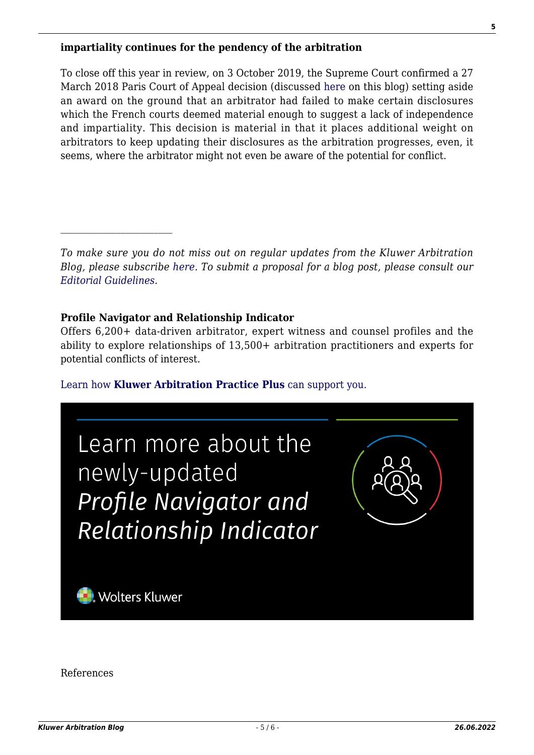#### **impartiality continues for the pendency of the arbitration**

To close off this year in review, on 3 October 2019, the Supreme Court confirmed a 27 March 2018 Paris Court of Appeal decision (discussed [here](http://arbitrationblog.kluwerarbitration.com/2018/07/18/acting-arbitrator-become-risky-business/) on this blog) setting aside an award on the ground that an arbitrator had failed to make certain disclosures which the French courts deemed material enough to suggest a lack of independence and impartiality. This decision is material in that it places additional weight on arbitrators to keep updating their disclosures as the arbitration progresses, even, it seems, where the arbitrator might not even be aware of the potential for conflict.

#### **Profile Navigator and Relationship Indicator**

Offers 6,200+ data-driven arbitrator, expert witness and counsel profiles and the ability to explore relationships of 13,500+ arbitration practitioners and experts for potential conflicts of interest.

[Learn how](https://www.wolterskluwer.com/en/solutions/kluwerarbitration/practiceplus?utm_source=arbitrationblog&utm_medium=articleCTA&utm_campaign=article-banner) **[Kluwer Arbitration Practice Plus](https://www.wolterskluwer.com/en/solutions/kluwerarbitration/practiceplus?utm_source=arbitrationblog&utm_medium=articleCTA&utm_campaign=article-banner)** [can support you.](https://www.wolterskluwer.com/en/solutions/kluwerarbitration/practiceplus?utm_source=arbitrationblog&utm_medium=articleCTA&utm_campaign=article-banner)



References

**5**

*To make sure you do not miss out on regular updates from the Kluwer Arbitration Blog, please subscribe [here](http://arbitrationblog.kluwerarbitration.com/newsletter/). To submit a proposal for a blog post, please consult our [Editorial Guidelines.](http://arbitrationblog.kluwerarbitration.com/editorial-guidelines/)*